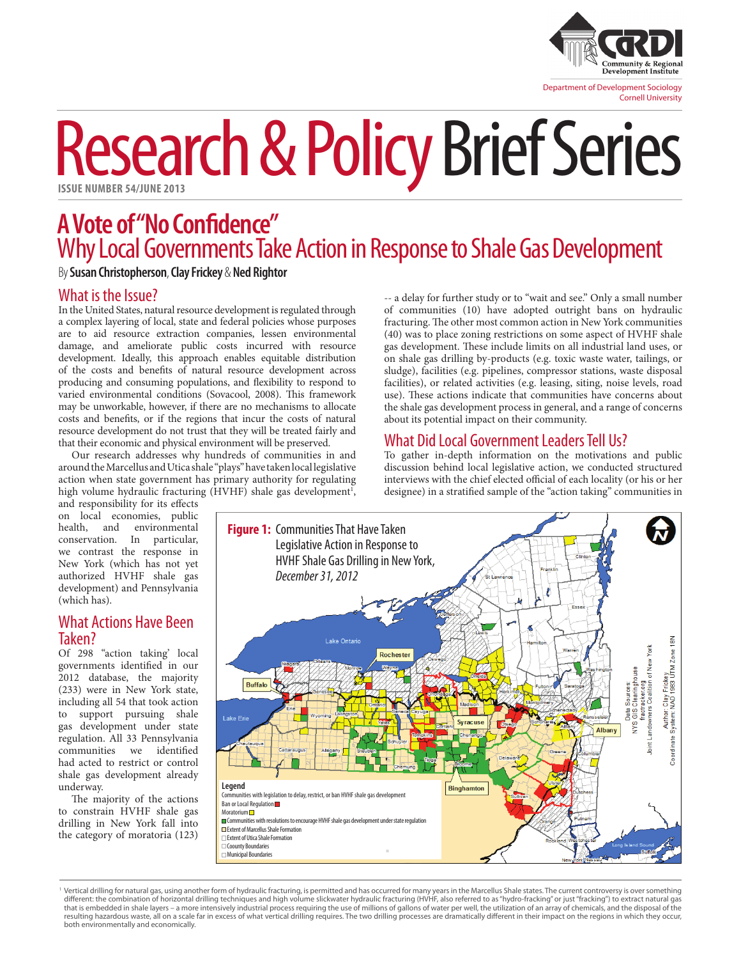

# Research & Policy Brief Series

# **A Vote of "No Confidence"** Why Local Governments Take Action in Response to Shale Gas Development

By **Susan Christopherson**, **Clay Frickey** & **Ned Rightor**

### What is the Issue?

In the United States, natural resource development is regulated through a complex layering of local, state and federal policies whose purposes are to aid resource extraction companies, lessen environmental damage, and ameliorate public costs incurred with resource development. Ideally, this approach enables equitable distribution of the costs and benefits of natural resource development across producing and consuming populations, and flexibility to respond to varied environmental conditions (Sovacool, 2008). This framework may be unworkable, however, if there are no mechanisms to allocate costs and benefits, or if the regions that incur the costs of natural resource development do not trust that they will be treated fairly and that their economic and physical environment will be preserved.

Our research addresses why hundreds of communities in and around the Marcellus and Utica shale "plays" have taken local legislative action when state government has primary authority for regulating high volume hydraulic fracturing (HVHF) shale gas development<sup>1</sup>,

-- a delay for further study or to "wait and see." Only a small number of communities (10) have adopted outright bans on hydraulic fracturing. The other most common action in New York communities (40) was to place zoning restrictions on some aspect of HVHF shale gas development. These include limits on all industrial land uses, or on shale gas drilling by-products (e.g. toxic waste water, tailings, or sludge), facilities (e.g. pipelines, compressor stations, waste disposal facilities), or related activities (e.g. leasing, siting, noise levels, road use). These actions indicate that communities have concerns about the shale gas development process in general, and a range of concerns about its potential impact on their community.

## What Did Local Government Leaders Tell Us?

To gather in-depth information on the motivations and public discussion behind local legislative action, we conducted structured interviews with the chief elected official of each locality (or his or her designee) in a stratified sample of the "action taking" communities in

and responsibility for its effects on local economies, public<br>health, and environmental environmental conservation. In particular, we contrast the response in New York (which has not yet authorized HVHF shale gas development) and Pennsylvania (which has).

#### What Actions Have Been Taken?

Of 298 "action taking' local governments identified in our 2012 database, the majority (233) were in New York state, including all 54 that took action to support pursuing shale gas development under state regulation. All 33 Pennsylvania communities we had acted to restrict or control shale gas development already underway.

The majority of the actions to constrain HVHF shale gas drilling in New York fall into the category of moratoria (123)



<sup>&#</sup>x27;Vertical drilling for natural gas, using another form of hydraulic fracturing, is permitted and has occurred for many years in the Marcellus Shale states. The current controversy is over something<br>different: the combinat that is embedded in shale layers – a more intensively industrial process requiring the use of millions of gallons of water per well, the utilization of an array of chemicals, and the disposal of the resulting hazardous waste, all on a scale far in excess of what vertical drilling requires. The two drilling processes are dramatically different in their impact on the regions in which they occur, both environmentally and economically.